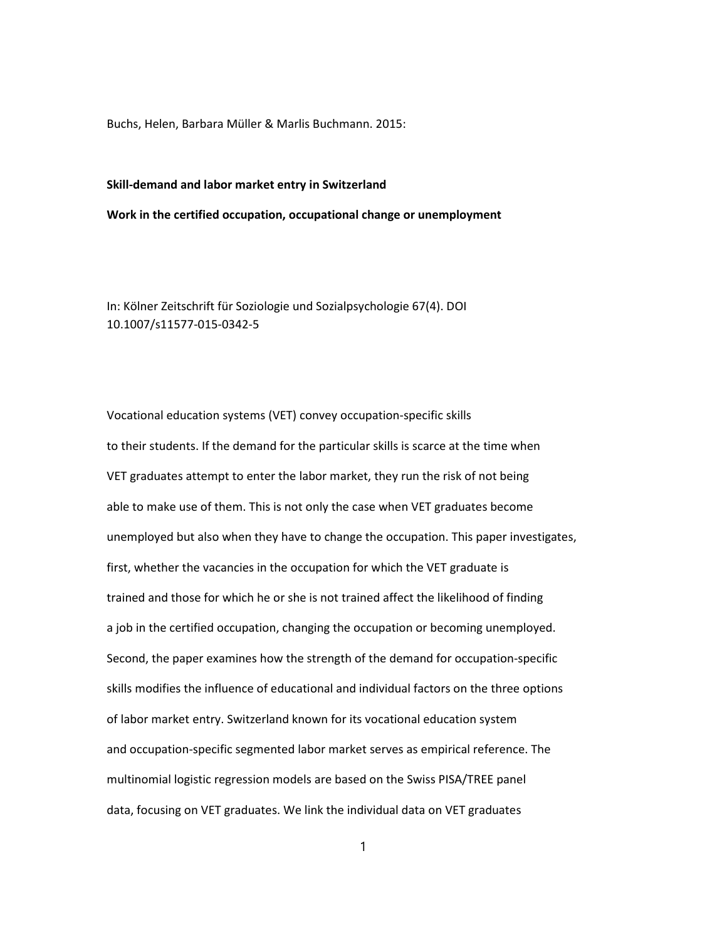Buchs, Helen, Barbara Müller & Marlis Buchmann. 2015:

## Skill-demand and labor market entry in Switzerland

Work in the certified occupation, occupational change or unemployment

In: Kölner Zeitschrift für Soziologie und Sozialpsychologie 67(4). DOI 10.1007/s11577-015-0342-5

Vocational education systems (VET) convey occupation-specific skills to their students. If the demand for the particular skills is scarce at the time when VET graduates attempt to enter the labor market, they run the risk of not being able to make use of them. This is not only the case when VET graduates become unemployed but also when they have to change the occupation. This paper investigates, first, whether the vacancies in the occupation for which the VET graduate is trained and those for which he or she is not trained affect the likelihood of finding a job in the certified occupation, changing the occupation or becoming unemployed. Second, the paper examines how the strength of the demand for occupation-specific skills modifies the influence of educational and individual factors on the three options of labor market entry. Switzerland known for its vocational education system and occupation-specific segmented labor market serves as empirical reference. The multinomial logistic regression models are based on the Swiss PISA/TREE panel data, focusing on VET graduates. We link the individual data on VET graduates